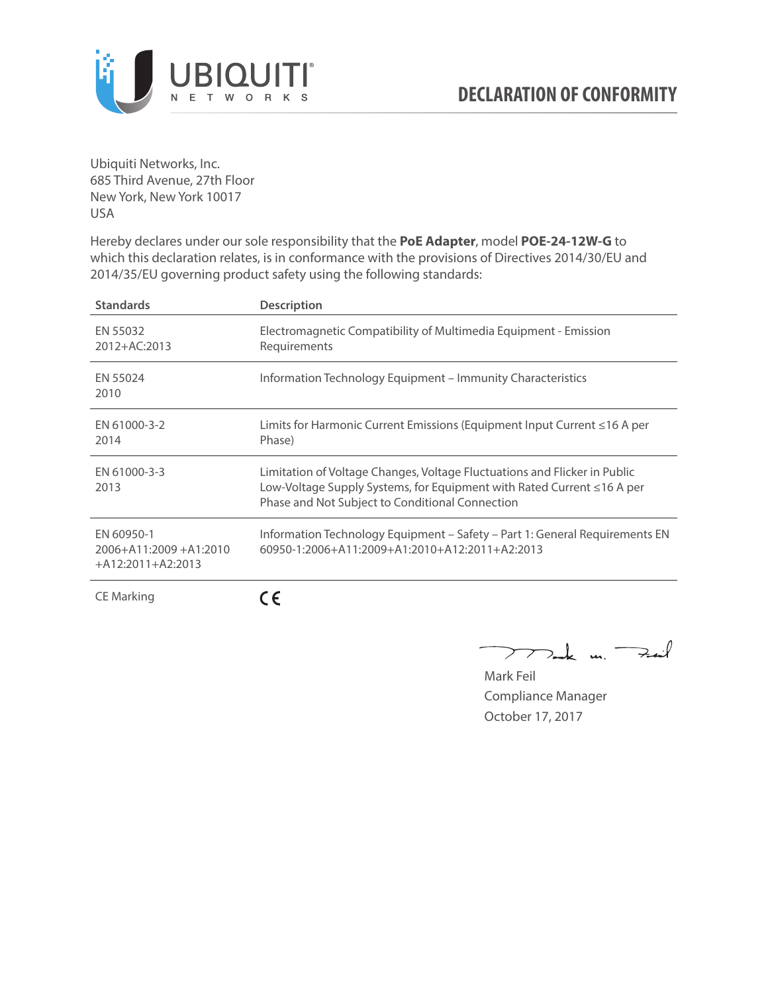

Ubiquiti Networks, Inc. 685 Third Avenue, 27th Floor New York, New York 10017 USA

Hereby declares under our sole responsibility that the **PoE Adapter**, model **POE-24-12W-G** to which this declaration relates, is in conformance with the provisions of Directives 2014/30/EU and 2014/35/EU governing product safety using the following standards:

| <b>Standards</b>                                                 | <b>Description</b>                                                                                                                                                                                     |
|------------------------------------------------------------------|--------------------------------------------------------------------------------------------------------------------------------------------------------------------------------------------------------|
| EN 55032<br>2012+AC:2013                                         | Electromagnetic Compatibility of Multimedia Equipment - Emission<br>Requirements                                                                                                                       |
| EN 55024<br>2010                                                 | Information Technology Equipment – Immunity Characteristics                                                                                                                                            |
| EN 61000-3-2<br>2014                                             | Limits for Harmonic Current Emissions (Equipment Input Current ≤16 A per<br>Phase)                                                                                                                     |
| EN 61000-3-3<br>2013                                             | Limitation of Voltage Changes, Voltage Fluctuations and Flicker in Public<br>Low-Voltage Supply Systems, for Equipment with Rated Current ≤16 A per<br>Phase and Not Subject to Conditional Connection |
| EN 60950-1<br>$2006 + A11:2009 + A1:2010$<br>$+A12:2011+A2:2013$ | Information Technology Equipment - Safety - Part 1: General Requirements EN<br>$60950 - 1:2006 + A11:2009 + A1:2010 + A12:2011 + A2:2013$                                                              |
| <b>CE Marking</b>                                                |                                                                                                                                                                                                        |

Dark m. Fuil  $\rightarrow$ 

Mark Feil Compliance Manager October 17, 2017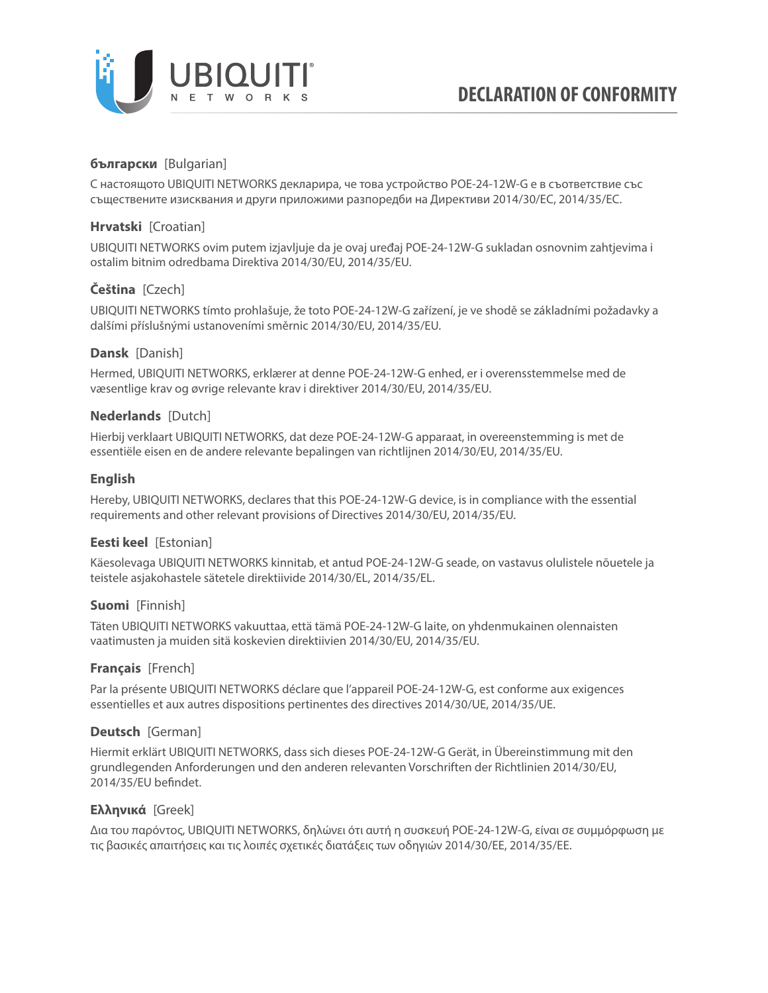

# **български** [Bulgarian]

С настоящото UBIQUITI NETWORKS декларира, че това устройство POE-24-12W-G е в съответствие със съществените изисквания и други приложими разпоредби на Директиви 2014/30/ЕС, 2014/35/ЕС.

## **Hrvatski** [Croatian]

UBIQUITI NETWORKS ovim putem izjavljuje da je ovaj uređaj POE-24-12W-G sukladan osnovnim zahtjevima i ostalim bitnim odredbama Direktiva 2014/30/EU, 2014/35/EU.

# **Čeština** [Czech]

UBIQUITI NETWORKS tímto prohlašuje, že toto POE-24-12W-G zařízení, je ve shodě se základními požadavky a dalšími příslušnými ustanoveními směrnic 2014/30/EU, 2014/35/EU.

#### **Dansk** [Danish]

Hermed, UBIQUITI NETWORKS, erklærer at denne POE-24-12W-G enhed, er i overensstemmelse med de væsentlige krav og øvrige relevante krav i direktiver 2014/30/EU, 2014/35/EU.

#### **Nederlands** [Dutch]

Hierbij verklaart UBIQUITI NETWORKS, dat deze POE-24-12W-G apparaat, in overeenstemming is met de essentiële eisen en de andere relevante bepalingen van richtlijnen 2014/30/EU, 2014/35/EU.

#### **English**

Hereby, UBIQUITI NETWORKS, declares that this POE-24-12W-G device, is in compliance with the essential requirements and other relevant provisions of Directives 2014/30/EU, 2014/35/EU.

## **Eesti keel** [Estonian]

Käesolevaga UBIQUITI NETWORKS kinnitab, et antud POE-24-12W-G seade, on vastavus olulistele nõuetele ja teistele asjakohastele sätetele direktiivide 2014/30/EL, 2014/35/EL.

#### **Suomi** [Finnish]

Täten UBIQUITI NETWORKS vakuuttaa, että tämä POE-24-12W-G laite, on yhdenmukainen olennaisten vaatimusten ja muiden sitä koskevien direktiivien 2014/30/EU, 2014/35/EU.

## **Français** [French]

Par la présente UBIQUITI NETWORKS déclare que l'appareil POE-24-12W-G, est conforme aux exigences essentielles et aux autres dispositions pertinentes des directives 2014/30/UE, 2014/35/UE.

## **Deutsch** [German]

Hiermit erklärt UBIQUITI NETWORKS, dass sich dieses POE-24-12W-G Gerät, in Übereinstimmung mit den grundlegenden Anforderungen und den anderen relevanten Vorschriften der Richtlinien 2014/30/EU, 2014/35/EU befindet.

#### **Ελληνικά** [Greek]

Δια του παρόντος, UBIQUITI NETWORKS, δηλώνει ότι αυτή η συσκευή POE-24-12W-G, είναι σε συμμόρφωση με τις βασικές απαιτήσεις και τις λοιπές σχετικές διατάξεις των οδηγιών 2014/30/EE, 2014/35/EE.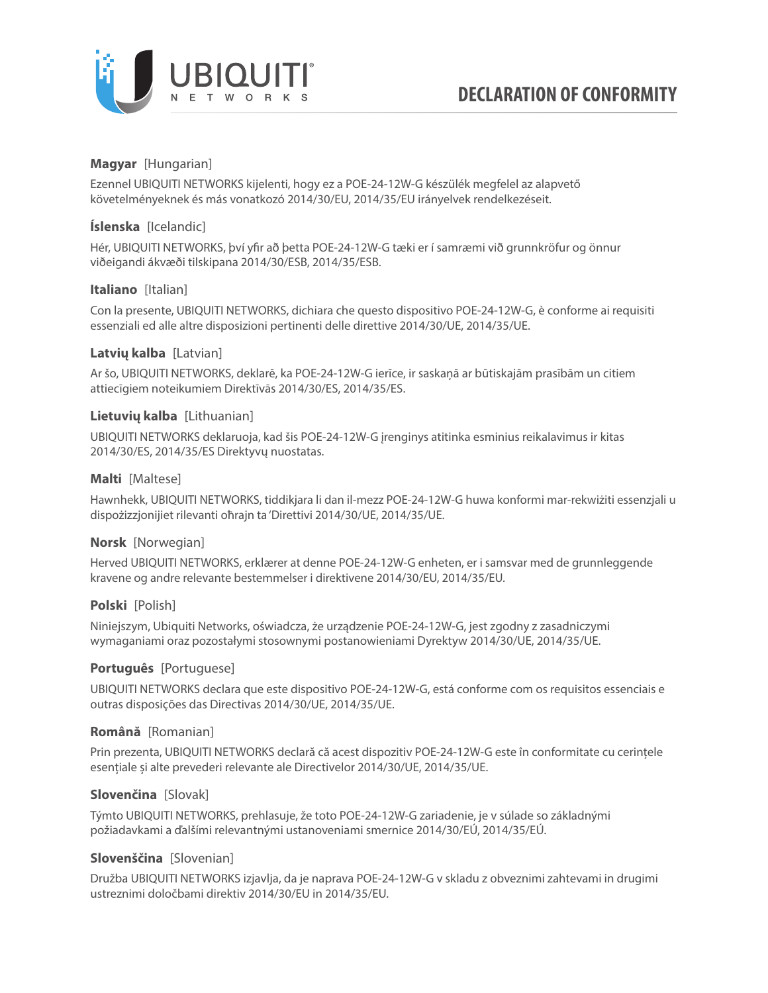

## **Magyar** [Hungarian]

Ezennel UBIQUITI NETWORKS kijelenti, hogy ez a POE-24-12W-G készülék megfelel az alapvető követelményeknek és más vonatkozó 2014/30/EU, 2014/35/EU irányelvek rendelkezéseit.

## **Íslenska** [Icelandic]

Hér, UBIQUITI NETWORKS, því yfir að þetta POE-24-12W-G tæki er í samræmi við grunnkröfur og önnur viðeigandi ákvæði tilskipana 2014/30/ESB, 2014/35/ESB.

## **Italiano** [Italian]

Con la presente, UBIQUITI NETWORKS, dichiara che questo dispositivo POE-24-12W-G, è conforme ai requisiti essenziali ed alle altre disposizioni pertinenti delle direttive 2014/30/UE, 2014/35/UE.

## **Latvių kalba** [Latvian]

Ar šo, UBIQUITI NETWORKS, deklarē, ka POE-24-12W-G ierīce, ir saskaņā ar būtiskajām prasībām un citiem attiecīgiem noteikumiem Direktīvās 2014/30/ES, 2014/35/ES.

#### **Lietuvių kalba** [Lithuanian]

UBIQUITI NETWORKS deklaruoja, kad šis POE-24-12W-G įrenginys atitinka esminius reikalavimus ir kitas 2014/30/ES, 2014/35/ES Direktyvų nuostatas.

#### **Malti** [Maltese]

Hawnhekk, UBIQUITI NETWORKS, tiddikjara li dan il-mezz POE-24-12W-G huwa konformi mar-rekwiżiti essenzjali u dispożizzjonijiet rilevanti oħrajn ta 'Direttivi 2014/30/UE, 2014/35/UE.

## **Norsk** [Norwegian]

Herved UBIQUITI NETWORKS, erklærer at denne POE-24-12W-G enheten, er i samsvar med de grunnleggende kravene og andre relevante bestemmelser i direktivene 2014/30/EU, 2014/35/EU.

## **Polski** [Polish]

Niniejszym, Ubiquiti Networks, oświadcza, że urządzenie POE-24-12W-G, jest zgodny z zasadniczymi wymaganiami oraz pozostałymi stosownymi postanowieniami Dyrektyw 2014/30/UE, 2014/35/UE.

#### **Português** [Portuguese]

UBIQUITI NETWORKS declara que este dispositivo POE-24-12W-G, está conforme com os requisitos essenciais e outras disposições das Directivas 2014/30/UE, 2014/35/UE.

## **Română** [Romanian]

Prin prezenta, UBIQUITI NETWORKS declară că acest dispozitiv POE-24-12W-G este în conformitate cu cerințele esențiale și alte prevederi relevante ale Directivelor 2014/30/UE, 2014/35/UE.

## **Slovenčina** [Slovak]

Týmto UBIQUITI NETWORKS, prehlasuje, že toto POE-24-12W-G zariadenie, je v súlade so základnými požiadavkami a ďalšími relevantnými ustanoveniami smernice 2014/30/EÚ, 2014/35/EÚ.

## **Slovenščina** [Slovenian]

Družba UBIQUITI NETWORKS izjavlja, da je naprava POE-24-12W-G v skladu z obveznimi zahtevami in drugimi ustreznimi določbami direktiv 2014/30/EU in 2014/35/EU.